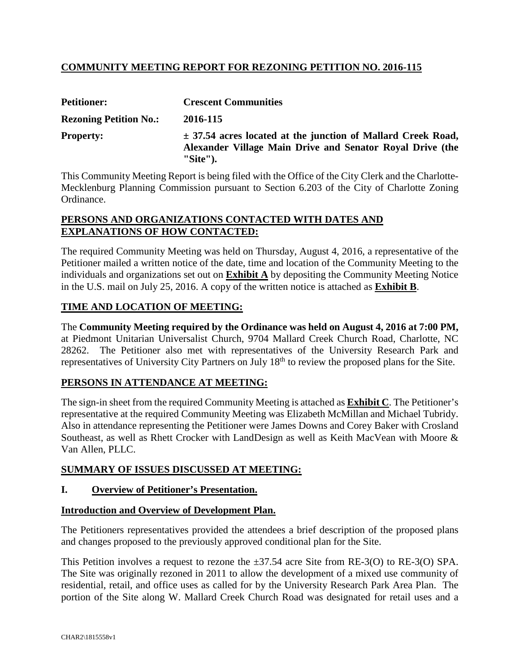## **COMMUNITY MEETING REPORT FOR REZONING PETITION NO. 2016-115**

| <b>Petitioner:</b>            | <b>Crescent Communities</b>                                                                                                                  |
|-------------------------------|----------------------------------------------------------------------------------------------------------------------------------------------|
| <b>Rezoning Petition No.:</b> | 2016-115                                                                                                                                     |
| <b>Property:</b>              | $\pm$ 37.54 acres located at the junction of Mallard Creek Road,<br>Alexander Village Main Drive and Senator Royal Drive (the<br>$"Site"$ ). |

This Community Meeting Report is being filed with the Office of the City Clerk and the Charlotte-Mecklenburg Planning Commission pursuant to Section 6.203 of the City of Charlotte Zoning Ordinance.

## **PERSONS AND ORGANIZATIONS CONTACTED WITH DATES AND EXPLANATIONS OF HOW CONTACTED:**

The required Community Meeting was held on Thursday, August 4, 2016, a representative of the Petitioner mailed a written notice of the date, time and location of the Community Meeting to the individuals and organizations set out on **Exhibit A** by depositing the Community Meeting Notice in the U.S. mail on July 25, 2016. A copy of the written notice is attached as **Exhibit B**.

## **TIME AND LOCATION OF MEETING:**

The **Community Meeting required by the Ordinance was held on August 4, 2016 at 7:00 PM,** at Piedmont Unitarian Universalist Church, 9704 Mallard Creek Church Road, Charlotte, NC 28262. The Petitioner also met with representatives of the University Research Park and representatives of University City Partners on July 18<sup>th</sup> to review the proposed plans for the Site.

## **PERSONS IN ATTENDANCE AT MEETING:**

The sign-in sheet from the required Community Meeting is attached as **Exhibit C**. The Petitioner's representative at the required Community Meeting was Elizabeth McMillan and Michael Tubridy. Also in attendance representing the Petitioner were James Downs and Corey Baker with Crosland Southeast, as well as Rhett Crocker with LandDesign as well as Keith MacVean with Moore & Van Allen, PLLC.

## **SUMMARY OF ISSUES DISCUSSED AT MEETING:**

## **I. Overview of Petitioner's Presentation.**

#### **Introduction and Overview of Development Plan.**

The Petitioners representatives provided the attendees a brief description of the proposed plans and changes proposed to the previously approved conditional plan for the Site.

This Petition involves a request to rezone the  $\pm 37.54$  acre Site from RE-3(O) to RE-3(O) SPA. The Site was originally rezoned in 2011 to allow the development of a mixed use community of residential, retail, and office uses as called for by the University Research Park Area Plan. The portion of the Site along W. Mallard Creek Church Road was designated for retail uses and a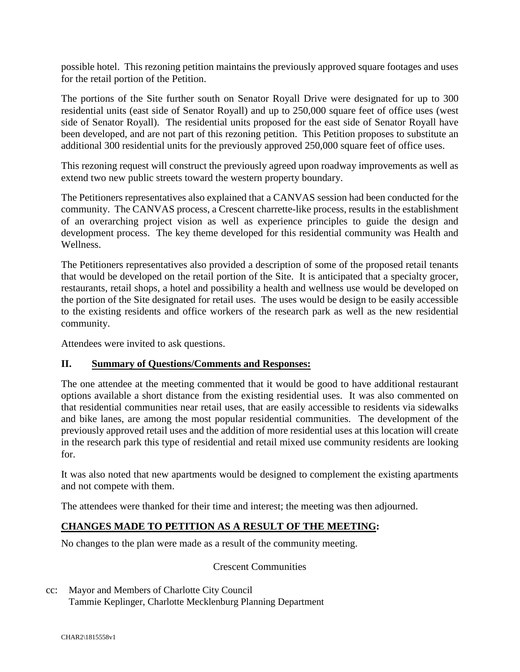possible hotel. This rezoning petition maintains the previously approved square footages and uses for the retail portion of the Petition.

The portions of the Site further south on Senator Royall Drive were designated for up to 300 residential units (east side of Senator Royall) and up to 250,000 square feet of office uses (west side of Senator Royall). The residential units proposed for the east side of Senator Royall have been developed, and are not part of this rezoning petition. This Petition proposes to substitute an additional 300 residential units for the previously approved 250,000 square feet of office uses.

This rezoning request will construct the previously agreed upon roadway improvements as well as extend two new public streets toward the western property boundary.

The Petitioners representatives also explained that a CANVAS session had been conducted for the community. The CANVAS process, a Crescent charrette-like process, results in the establishment of an overarching project vision as well as experience principles to guide the design and development process. The key theme developed for this residential community was Health and Wellness.

The Petitioners representatives also provided a description of some of the proposed retail tenants that would be developed on the retail portion of the Site. It is anticipated that a specialty grocer, restaurants, retail shops, a hotel and possibility a health and wellness use would be developed on the portion of the Site designated for retail uses. The uses would be design to be easily accessible to the existing residents and office workers of the research park as well as the new residential community.

Attendees were invited to ask questions.

#### **II. Summary of Questions/Comments and Responses:**

The one attendee at the meeting commented that it would be good to have additional restaurant options available a short distance from the existing residential uses. It was also commented on that residential communities near retail uses, that are easily accessible to residents via sidewalks and bike lanes, are among the most popular residential communities. The development of the previously approved retail uses and the addition of more residential uses at this location will create in the research park this type of residential and retail mixed use community residents are looking for.

It was also noted that new apartments would be designed to complement the existing apartments and not compete with them.

The attendees were thanked for their time and interest; the meeting was then adjourned.

## **CHANGES MADE TO PETITION AS A RESULT OF THE MEETING:**

No changes to the plan were made as a result of the community meeting.

## Crescent Communities

cc: Mayor and Members of Charlotte City Council Tammie Keplinger, Charlotte Mecklenburg Planning Department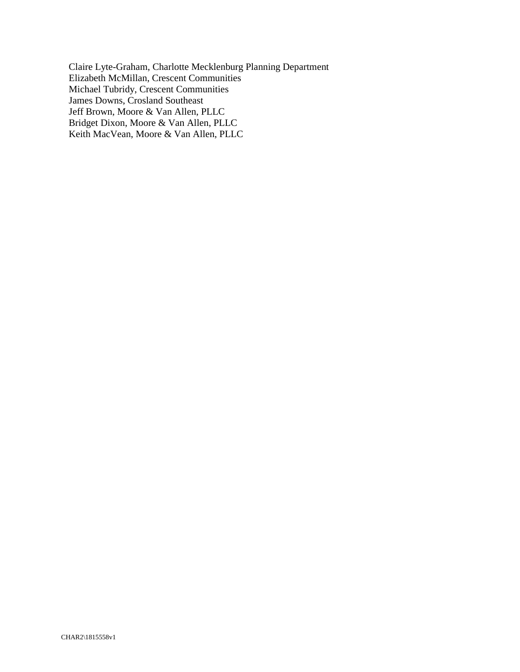Claire Lyte-Graham, Charlotte Mecklenburg Planning Department Elizabeth McMillan, Crescent Communities Michael Tubridy, Crescent Communities James Downs, Crosland Southeast Jeff Brown, Moore & Van Allen, PLLC Bridget Dixon, Moore & Van Allen, PLLC Keith MacVean, Moore & Van Allen, PLLC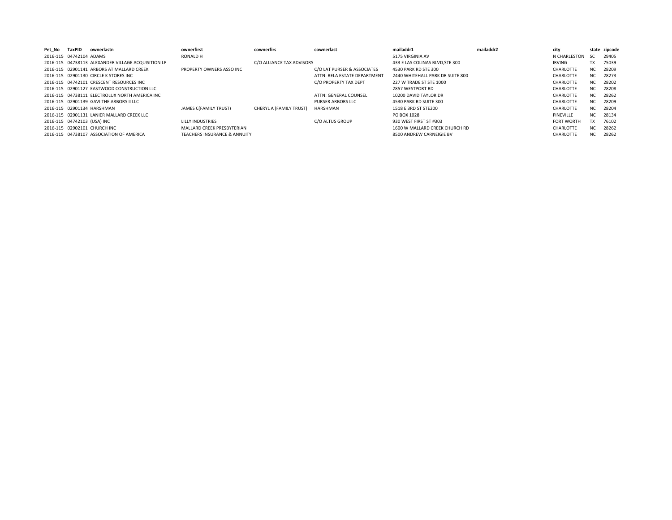| TaxPID<br>Pet No             | ownerlastn                                         | ownerfirst                   | cownerfirs                     | cownerlast                   | mailaddr1                        | mailaddr2 | city              |      | state zipcode |
|------------------------------|----------------------------------------------------|------------------------------|--------------------------------|------------------------------|----------------------------------|-----------|-------------------|------|---------------|
| 2016-115 04742104 ADAMS      |                                                    | <b>RONALD H</b>              |                                |                              | 5175 VIRGINIA AV                 |           | N CHARLESTON      | - SC | 29405         |
|                              | 2016-115 04738113 ALEXANDER VILLAGE ACQUISITION LP |                              | C/O ALLIANCE TAX ADVISORS      |                              | 433 E LAS COLINAS BLVD.STE 300   |           | <b>IRVING</b>     | TX   | 75039         |
|                              | 2016-115 02901141 ARBORS AT MALLARD CREEK          | PROPERTY OWNERS ASSO INC     |                                | C/O LAT PURSER & ASSOCIATES  | 4530 PARK RD STE 300             |           | CHARLOTTE         | NC   | 28209         |
|                              | 2016-115 02901130 CIRCLE K STORES INC              |                              |                                | ATTN: RELA ESTATE DEPARTMENT | 2440 WHITEHALL PARK DR SUITE 800 |           | CHARLOTTE         | NC.  | 28273         |
|                              | 2016-115 04742101 CRESCENT RESOURCES INC.          |                              |                                | C/O PROPERTY TAX DEPT        | 227 W TRADE ST STE 1000          |           | CHARLOTTE         | NC.  | 28202         |
|                              | 2016-115 02901127 EASTWOOD CONSTRUCTION LLC        |                              |                                |                              | 2857 WESTPORT RD                 |           | CHARLOTTE         | NC   | 28208         |
|                              | 2016-115 04738111 ELECTROLUX NORTH AMERICA INC     |                              |                                | ATTN: GENERAL COUNSEL        | 10200 DAVID TAYLOR DR            |           | CHARLOTTE         | NC   | 28262         |
|                              | 2016-115 02901139 GAVI THE ARBORS II LLC           |                              |                                | PURSER ARBORS LLC            | 4530 PARK RD SUITE 300           |           | CHARLOTTE         | NC   | 28209         |
| 2016-115 02901134 HARSHMAN   |                                                    | JAMES C(FAMILY TRUST)        | <b>CHERYL A (FAMILY TRUST)</b> | <b>HARSHMAN</b>              | 1518 F 3RD ST STF200             |           | CHARLOTTE         | NC.  | 28204         |
|                              | 2016-115 02901131 LANIER MALLARD CREEK LLC         |                              |                                |                              | PO BOX 1028                      |           | PINEVILLE         | NC.  | 28134         |
| 2016-115 04742103 (USA) INC  |                                                    | <b>LILLY INDUSTRIES</b>      |                                | C/O ALTUS GROUP              | 930 WEST FIRST ST #303           |           | <b>FORT WORTH</b> | TX   | 76102         |
| 2016-115 02902101 CHURCH INC |                                                    | MALLARD CREEK PRESBYTERIAN   |                                |                              | 1600 W MALLARD CREEK CHURCH RD   |           | CHARLOTTE         | NC.  | 28262         |
|                              | 2016-115 04738107 ASSOCIATION OF AMERICA           | TEACHERS INSURANCE & ANNUITY |                                |                              | 8500 ANDREW CARNEIGIE BV         |           | CHARLOTTE         | NC.  | 28262         |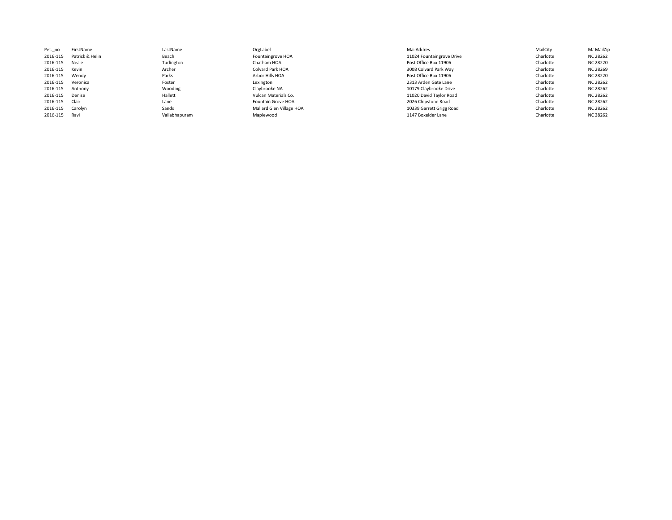| Pet. no  | FirstName       | LastName      | OrgLabel                 | MailAddres                | MailCity  | Με MailZip      |
|----------|-----------------|---------------|--------------------------|---------------------------|-----------|-----------------|
| 2016-115 | Patrick & Helin | Beach         | Fountaingrove HOA        | 11024 Fountaingrove Drive | Charlotte | <b>NC 28262</b> |
| 2016-115 | Neale           | Turlington    | Chatham HOA              | Post Office Box 11906     | Charlotte | <b>NC 28220</b> |
| 2016-115 | Kevin           | Archer        | Colvard Park HOA         | 3008 Colvard Park Wav     | Charlotte | <b>NC 28269</b> |
| 2016-115 | Wendy           | Parks         | Arbor Hills HOA          | Post Office Box 11906     | Charlotte | <b>NC 28220</b> |
| 2016-115 | Veronica        | Foster        | Lexington                | 2313 Arden Gate Lane      | Charlotte | <b>NC 28262</b> |
| 2016-115 | Anthony         | Wooding       | Claybrooke NA            | 10179 Claybrooke Drive    | Charlotte | <b>NC 28262</b> |
| 2016-115 | Denise          | Hallett       | Vulcan Materials Co.     | 11020 David Taylor Road   | Charlotte | <b>NC 28262</b> |
| 2016-115 | Clair           | Lane          | Fountain Grove HOA       | 2026 Chipstone Road       | Charlotte | <b>NC 28262</b> |
| 2016-115 | Carolyn         | Sands         | Mallard Glen Village HOA | 10339 Garrett Grigg Road  | Charlotte | <b>NC 28262</b> |
| 2016-115 | Ravi            | Vallabhapuram | Maplewood                | 1147 Boxelder Lane        | Charlotte | <b>NC 28262</b> |
|          |                 |               |                          |                           |           |                 |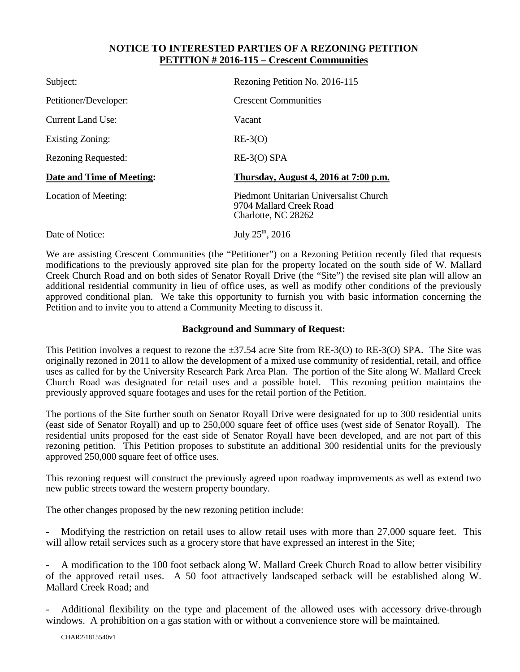### **NOTICE TO INTERESTED PARTIES OF A REZONING PETITION PETITION # 2016-115 – Crescent Communities**

| Subject:                   | Rezoning Petition No. 2016-115                                                           |
|----------------------------|------------------------------------------------------------------------------------------|
| Petitioner/Developer:      | <b>Crescent Communities</b>                                                              |
| <b>Current Land Use:</b>   | Vacant                                                                                   |
| <b>Existing Zoning:</b>    | $RE-3(O)$                                                                                |
| <b>Rezoning Requested:</b> | $RE-3(O)$ SPA                                                                            |
| Date and Time of Meeting:  | <b>Thursday, August 4, 2016 at 7:00 p.m.</b>                                             |
| Location of Meeting:       | Piedmont Unitarian Universalist Church<br>9704 Mallard Creek Road<br>Charlotte, NC 28262 |
| Date of Notice:            | July $25^{\text{th}}$ , 2016                                                             |

We are assisting Crescent Communities (the "Petitioner") on a Rezoning Petition recently filed that requests modifications to the previously approved site plan for the property located on the south side of W. Mallard Creek Church Road and on both sides of Senator Royall Drive (the "Site") the revised site plan will allow an additional residential community in lieu of office uses, as well as modify other conditions of the previously approved conditional plan. We take this opportunity to furnish you with basic information concerning the Petition and to invite you to attend a Community Meeting to discuss it.

#### **Background and Summary of Request:**

This Petition involves a request to rezone the  $\pm 37.54$  acre Site from RE-3(O) to RE-3(O) SPA. The Site was originally rezoned in 2011 to allow the development of a mixed use community of residential, retail, and office uses as called for by the University Research Park Area Plan. The portion of the Site along W. Mallard Creek Church Road was designated for retail uses and a possible hotel. This rezoning petition maintains the previously approved square footages and uses for the retail portion of the Petition.

The portions of the Site further south on Senator Royall Drive were designated for up to 300 residential units (east side of Senator Royall) and up to 250,000 square feet of office uses (west side of Senator Royall). The residential units proposed for the east side of Senator Royall have been developed, and are not part of this rezoning petition. This Petition proposes to substitute an additional 300 residential units for the previously approved 250,000 square feet of office uses.

This rezoning request will construct the previously agreed upon roadway improvements as well as extend two new public streets toward the western property boundary.

The other changes proposed by the new rezoning petition include:

Modifying the restriction on retail uses to allow retail uses with more than 27,000 square feet. This will allow retail services such as a grocery store that have expressed an interest in the Site;

A modification to the 100 foot setback along W. Mallard Creek Church Road to allow better visibility of the approved retail uses. A 50 foot attractively landscaped setback will be established along W. Mallard Creek Road; and

Additional flexibility on the type and placement of the allowed uses with accessory drive-through windows. A prohibition on a gas station with or without a convenience store will be maintained.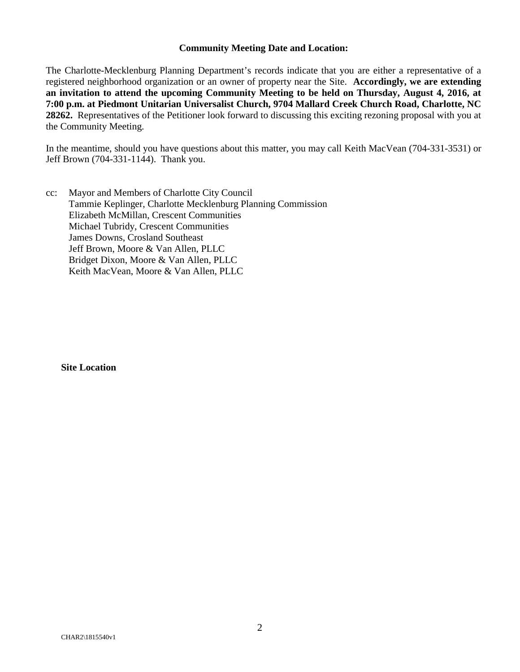#### **Community Meeting Date and Location:**

The Charlotte-Mecklenburg Planning Department's records indicate that you are either a representative of a registered neighborhood organization or an owner of property near the Site. **Accordingly, we are extending an invitation to attend the upcoming Community Meeting to be held on Thursday, August 4, 2016, at 7:00 p.m. at Piedmont Unitarian Universalist Church, 9704 Mallard Creek Church Road, Charlotte, NC 28262.** Representatives of the Petitioner look forward to discussing this exciting rezoning proposal with you at the Community Meeting.

In the meantime, should you have questions about this matter, you may call Keith MacVean (704-331-3531) or Jeff Brown (704-331-1144). Thank you.

cc: Mayor and Members of Charlotte City Council Tammie Keplinger, Charlotte Mecklenburg Planning Commission Elizabeth McMillan, Crescent Communities Michael Tubridy, Crescent Communities James Downs, Crosland Southeast Jeff Brown, Moore & Van Allen, PLLC Bridget Dixon, Moore & Van Allen, PLLC Keith MacVean, Moore & Van Allen, PLLC

**Site Location**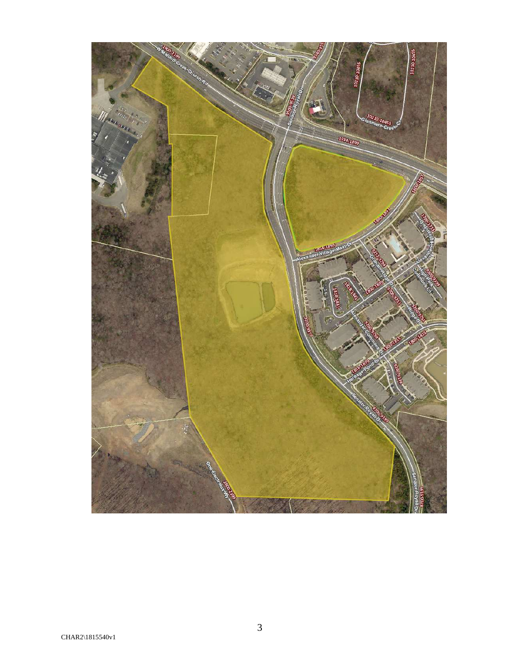